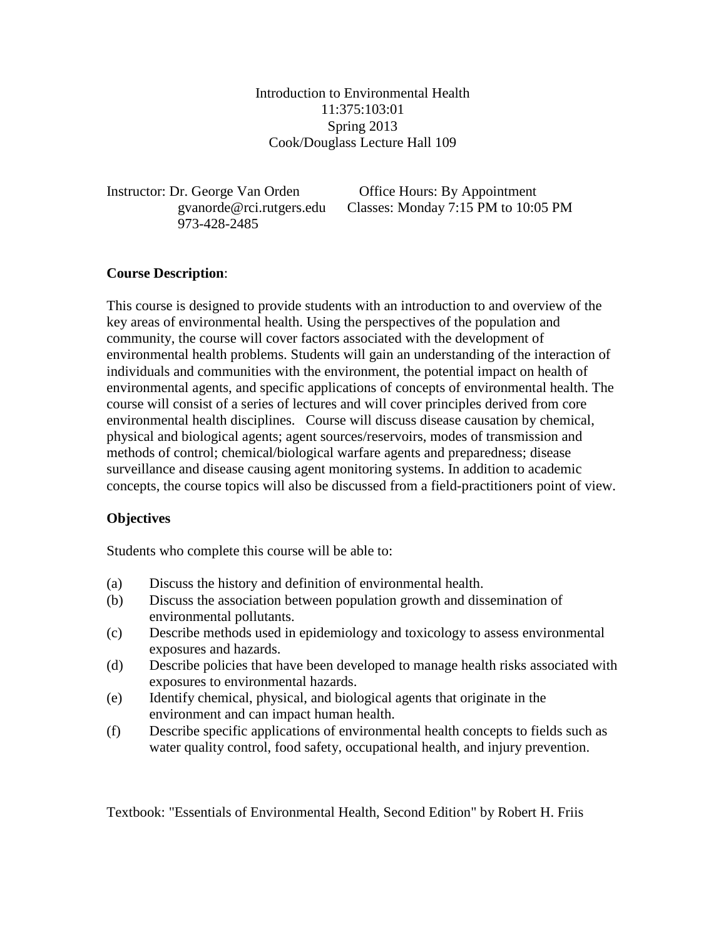Introduction to Environmental Health 11:375:103:01 Spring 2013 Cook/Douglass Lecture Hall 109

Instructor: Dr. George Van Orden Office Hours: By Appointment 973-428-2485

gvanorde@rci.rutgers.edu Classes: Monday 7:15 PM to 10:05 PM

## **Course Description**:

This course is designed to provide students with an introduction to and overview of the key areas of environmental health. Using the perspectives of the population and community, the course will cover factors associated with the development of environmental health problems. Students will gain an understanding of the interaction of individuals and communities with the environment, the potential impact on health of environmental agents, and specific applications of concepts of environmental health. The course will consist of a series of lectures and will cover principles derived from core environmental health disciplines. Course will discuss disease causation by chemical, physical and biological agents; agent sources/reservoirs, modes of transmission and methods of control; chemical/biological warfare agents and preparedness; disease surveillance and disease causing agent monitoring systems. In addition to academic concepts, the course topics will also be discussed from a field-practitioners point of view.

## **Objectives**

Students who complete this course will be able to:

- (a) Discuss the history and definition of environmental health.
- (b) Discuss the association between population growth and dissemination of environmental pollutants.
- (c) Describe methods used in epidemiology and toxicology to assess environmental exposures and hazards.
- (d) Describe policies that have been developed to manage health risks associated with exposures to environmental hazards.
- (e) Identify chemical, physical, and biological agents that originate in the environment and can impact human health.
- (f) Describe specific applications of environmental health concepts to fields such as water quality control, food safety, occupational health, and injury prevention.

Textbook: "Essentials of Environmental Health, Second Edition" by Robert H. Friis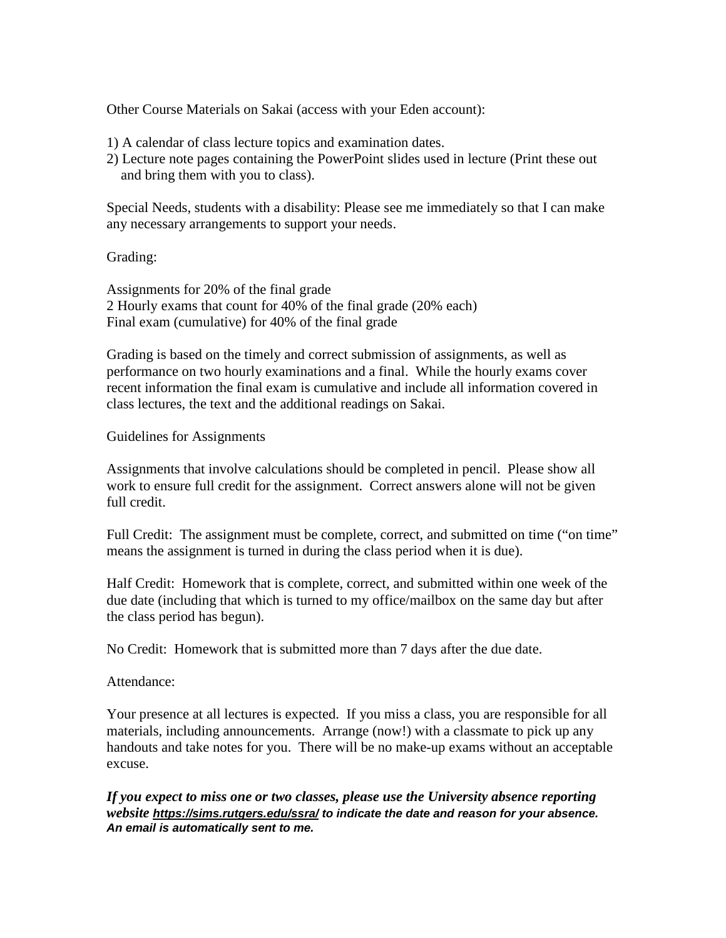Other Course Materials on Sakai (access with your Eden account):

- 1) A calendar of class lecture topics and examination dates.
- 2) Lecture note pages containing the PowerPoint slides used in lecture (Print these out and bring them with you to class).

Special Needs, students with a disability: Please see me immediately so that I can make any necessary arrangements to support your needs.

Grading:

Assignments for 20% of the final grade 2 Hourly exams that count for 40% of the final grade (20% each) Final exam (cumulative) for 40% of the final grade

Grading is based on the timely and correct submission of assignments, as well as performance on two hourly examinations and a final. While the hourly exams cover recent information the final exam is cumulative and include all information covered in class lectures, the text and the additional readings on Sakai.

Guidelines for Assignments

Assignments that involve calculations should be completed in pencil. Please show all work to ensure full credit for the assignment. Correct answers alone will not be given full credit.

Full Credit: The assignment must be complete, correct, and submitted on time ("on time" means the assignment is turned in during the class period when it is due).

Half Credit: Homework that is complete, correct, and submitted within one week of the due date (including that which is turned to my office/mailbox on the same day but after the class period has begun).

No Credit: Homework that is submitted more than 7 days after the due date.

Attendance:

Your presence at all lectures is expected. If you miss a class, you are responsible for all materials, including announcements. Arrange (now!) with a classmate to pick up any handouts and take notes for you. There will be no make-up exams without an acceptable excuse.

*If you expect to miss one or two classes, please use the University absence reporting website <https://sims.rutgers.edu/ssra/> to indicate the date and reason for your absence. An email is automatically sent to me.*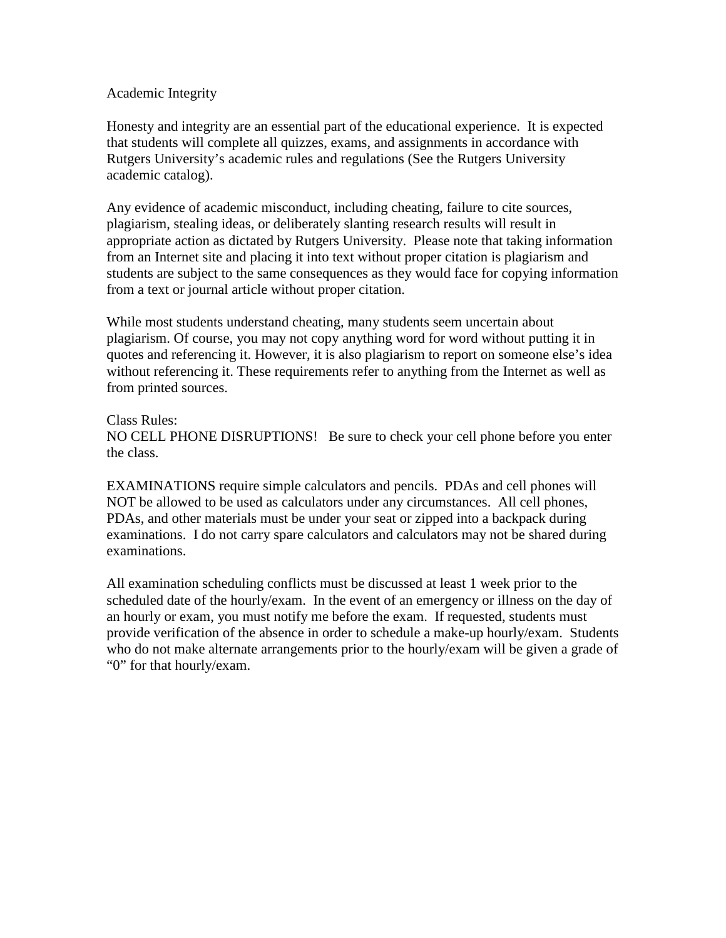### Academic Integrity

Honesty and integrity are an essential part of the educational experience. It is expected that students will complete all quizzes, exams, and assignments in accordance with Rutgers University's academic rules and regulations (See the Rutgers University academic catalog).

Any evidence of academic misconduct, including cheating, failure to cite sources, plagiarism, stealing ideas, or deliberately slanting research results will result in appropriate action as dictated by Rutgers University. Please note that taking information from an Internet site and placing it into text without proper citation is plagiarism and students are subject to the same consequences as they would face for copying information from a text or journal article without proper citation.

While most students understand cheating, many students seem uncertain about plagiarism. Of course, you may not copy anything word for word without putting it in quotes and referencing it. However, it is also plagiarism to report on someone else's idea without referencing it. These requirements refer to anything from the Internet as well as from printed sources.

#### Class Rules:

NO CELL PHONE DISRUPTIONS! Be sure to check your cell phone before you enter the class.

EXAMINATIONS require simple calculators and pencils. PDAs and cell phones will NOT be allowed to be used as calculators under any circumstances. All cell phones, PDAs, and other materials must be under your seat or zipped into a backpack during examinations. I do not carry spare calculators and calculators may not be shared during examinations.

All examination scheduling conflicts must be discussed at least 1 week prior to the scheduled date of the hourly/exam. In the event of an emergency or illness on the day of an hourly or exam, you must notify me before the exam. If requested, students must provide verification of the absence in order to schedule a make-up hourly/exam. Students who do not make alternate arrangements prior to the hourly/exam will be given a grade of "0" for that hourly/exam.